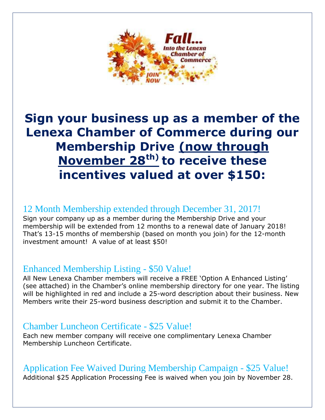

# **Sign your business up as a member of the Lenexa Chamber of Commerce during our Membership Drive (now through November 28th) to receive these incentives valued at over \$150:**

# 12 Month Membership extended through December 31, 2017!

Sign your company up as a member during the Membership Drive and your membership will be extended from 12 months to a renewal date of January 2018! That's 13-15 months of membership (based on month you join) for the 12-month investment amount! A value of at least \$50!

## Enhanced Membership Listing - \$50 Value!

All New Lenexa Chamber members will receive a FREE 'Option A Enhanced Listing' (see attached) in the Chamber's online membership directory for one year. The listing will be highlighted in red and include a 25-word description about their business. New Members write their 25-word business description and submit it to the Chamber.

# Chamber Luncheon Certificate - \$25 Value!

Each new member company will receive one complimentary Lenexa Chamber Membership Luncheon Certificate.

# Application Fee Waived During Membership Campaign - \$25 Value!

Additional \$25 Application Processing Fee is waived when you join by November 28.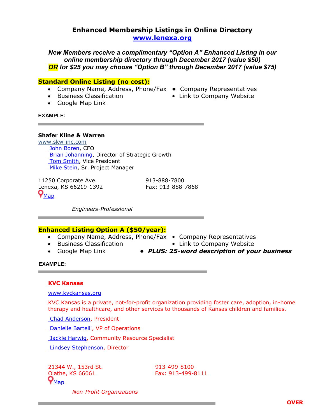### **Enhanced Membership Listings in Online Directory [www.lenexa.org](http://www.lenexa.org/)**

*New Members receive a complimentary "Option A" Enhanced Listing in our online membership directory through December 2017 (value \$50) OR for \$25 you may choose "Option B" through December 2017 (value \$75)* 

#### **Standard Online Listing (no cost):**

- Company Name, Address, Phone/Fax **•** Company Representatives
- 
- Google Map Link
- 
- Business Classification Link to Company Website

#### **EXAMPLE:**

#### **Shafer Kline & Warren**

[www.skw-inc.com](http://www.skw-inc.com/) John [Boren,](http://cca.lenexa.org/Boren%2c+John_repdirectory.aspx) CFO Brian [Johanning,](http://cca.lenexa.org/Johanning%2c+Brian_repdirectory.aspx) Director of Strategic Growth Tom [Smith,](http://cca.lenexa.org/Smith%2c+Tom_repdirectory.aspx) Vice President Mike [Stein,](http://cca.lenexa.org/Stein%2c+Mike_repdirectory.aspx) Sr. Project Manager

11250 Corporate Ave. 913-888-7800 Lenexa, KS 66219-1392 Fax: 913-888-7868  $\bm{\varphi}_{\texttt{Map}}$  $\bm{\varphi}_{\texttt{Map}}$  $\bm{\varphi}_{\texttt{Map}}$ 

 *Engineers-Professional*

### **Enhanced Listing Option A (\$50/year):**

- Company Name, Address, Phone/Fax Company Representatives
- 
- 
- 
- Business Classification  **Link to Company Website**
- Google Map Link **•** *PLUS: 25-word description of your business*

#### **EXAMPLE:**

#### **KVC Kansas**

#### [www.kvckansas.org](http://www.kvckansas.org/)

KVC Kansas is a private, not-for-profit organization providing foster care, adoption, in-home therapy and healthcare, and other services to thousands of Kansas children and families.

Chad [Anderson,](http://cca.lenexa.org/Anderson%2c+Chad_repdirectory.aspx) President

[Danielle](http://cca.lenexa.org/Bartelli%2c+Danielle_repdirectory.aspx) Bartelli, VP of Operations

**Jackie [Harwig,](http://cca.lenexa.org/Harwig%2c+Jackie_repdirectory.aspx) Community Resource Specialist** 

Lindsey [Stephenson,](http://cca.lenexa.org/Stephenson%2c+Lindsey_repdirectory.aspx) Director

21344 W., 153rd St. 913-499-8100 Olathe, KS 66061 Fax: 913-499-8111  $\bm{\mathsf{Q}}_{\texttt{Map}}$  $\bm{\mathsf{Q}}_{\texttt{Map}}$  $\bm{\mathsf{Q}}_{\texttt{Map}}$ 

 *Non-Profit Organizations*